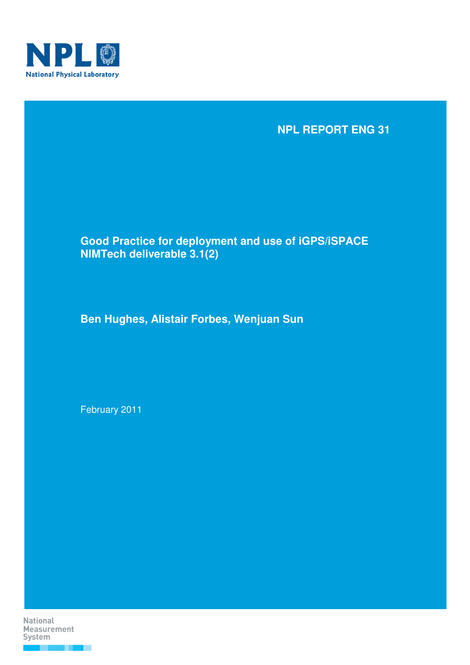

## **NPL REPORT ENG 31**

## **Good Practice for deployment and use of iGPS/iSPACE NIMTech deliverable 3.1(2)**

**Ben Hughes, Alistair Forbes, Wenjuan Sun** 

February 2011

**National Measurement** System

. . .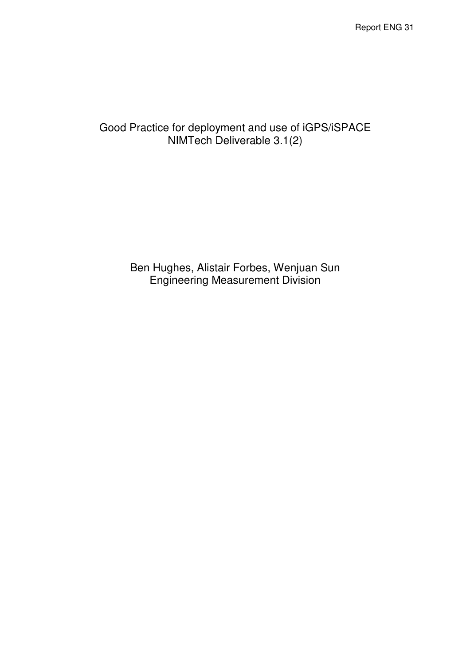Report ENG 31

# Good Practice for deployment and use of iGPS/iSPACE NIMTech Deliverable 3.1(2)

Ben Hughes, Alistair Forbes, Wenjuan Sun Engineering Measurement Division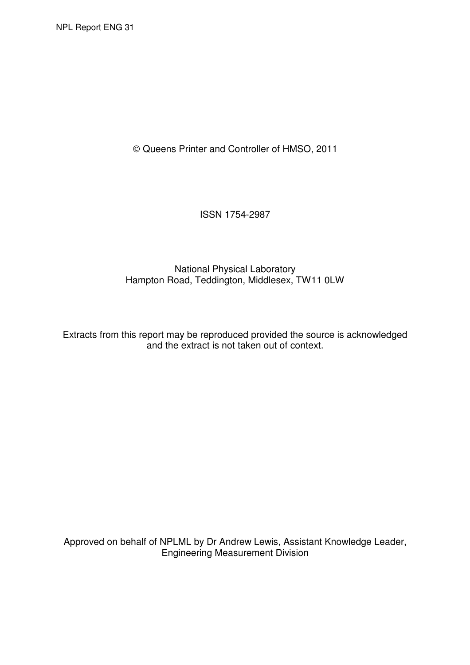Queens Printer and Controller of HMSO, 2011

ISSN 1754-2987

National Physical Laboratory Hampton Road, Teddington, Middlesex, TW11 0LW

Extracts from this report may be reproduced provided the source is acknowledged and the extract is not taken out of context.

Approved on behalf of NPLML by Dr Andrew Lewis, Assistant Knowledge Leader, Engineering Measurement Division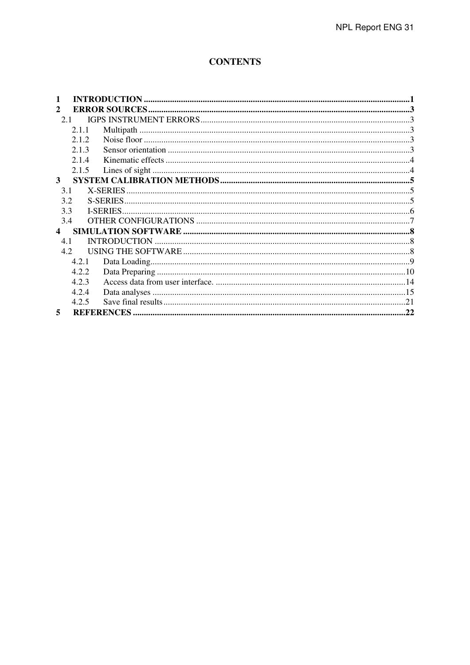## **CONTENTS**

| 2                |       |  |
|------------------|-------|--|
| 2.1              |       |  |
|                  | 2.1.1 |  |
|                  | 2.12  |  |
|                  | 2.1.3 |  |
|                  | 2.14  |  |
|                  | 2.1.5 |  |
| 3                |       |  |
| 3.1              |       |  |
| 3.2              |       |  |
| 3.3              |       |  |
| 3.4              |       |  |
| $\blacktriangle$ |       |  |
| 4.1              |       |  |
| 4.2              |       |  |
|                  | 4.2.1 |  |
|                  | 4.2.2 |  |
|                  | 4.2.3 |  |
|                  | 4.2.4 |  |
|                  | 4.2.5 |  |
| 5                |       |  |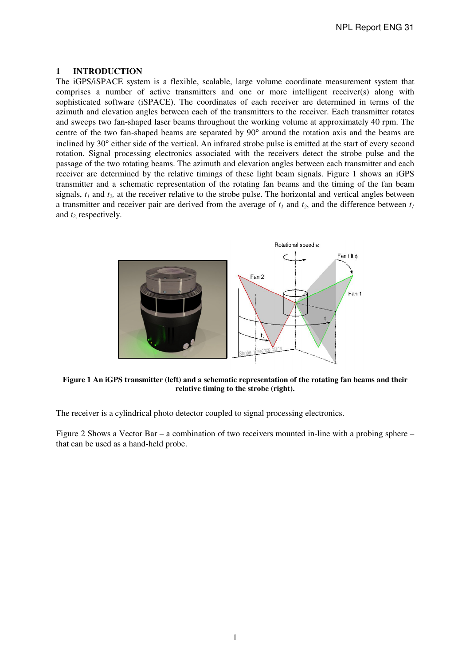NPL Report ENG 31

#### **1 INTRODUCTION**

The iGPS/iSPACE system is a flexible, scalable, large volume coordinate measurement system that comprises a number of active transmitters and one or more intelligent receiver(s) along with sophisticated software (iSPACE). The coordinates of each receiver are determined in terms of the azimuth and elevation angles between each of the transmitters to the receiver. Each transmitter rotates and sweeps two fan-shaped laser beams throughout the working volume at approximately 40 rpm. The centre of the two fan-shaped beams are separated by 90° around the rotation axis and the beams are inclined by 30° either side of the vertical. An infrared strobe pulse is emitted at the start of every second rotation. Signal processing electronics associated with the receivers detect the strobe pulse and the passage of the two rotating beams. The azimuth and elevation angles between each transmitter and each receiver are determined by the relative timings of these light beam signals. Figure 1 shows an iGPS transmitter and a schematic representation of the rotating fan beams and the timing of the fan beam signals,  $t_1$  and  $t_2$ , at the receiver relative to the strobe pulse. The horizontal and vertical angles between a transmitter and receiver pair are derived from the average of  $t_1$  and  $t_2$ , and the difference between  $t_1$ and *t2,* respectively.



**Figure 1 An iGPS transmitter (left) and a schematic representation of the rotating fan beams and their relative timing to the strobe (right).** 

The receiver is a cylindrical photo detector coupled to signal processing electronics.

Figure 2 Shows a Vector Bar – a combination of two receivers mounted in-line with a probing sphere – that can be used as a hand-held probe.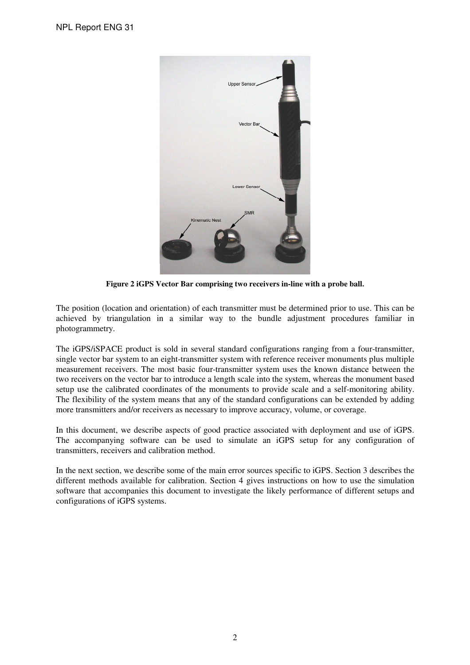

**Figure 2 iGPS Vector Bar comprising two receivers in-line with a probe ball.** 

The position (location and orientation) of each transmitter must be determined prior to use. This can be achieved by triangulation in a similar way to the bundle adjustment procedures familiar in photogrammetry.

The iGPS/iSPACE product is sold in several standard configurations ranging from a four-transmitter, single vector bar system to an eight-transmitter system with reference receiver monuments plus multiple measurement receivers. The most basic four-transmitter system uses the known distance between the two receivers on the vector bar to introduce a length scale into the system, whereas the monument based setup use the calibrated coordinates of the monuments to provide scale and a self-monitoring ability. The flexibility of the system means that any of the standard configurations can be extended by adding more transmitters and/or receivers as necessary to improve accuracy, volume, or coverage.

In this document, we describe aspects of good practice associated with deployment and use of iGPS. The accompanying software can be used to simulate an iGPS setup for any configuration of transmitters, receivers and calibration method.

In the next section, we describe some of the main error sources specific to iGPS. Section 3 describes the different methods available for calibration. Section 4 gives instructions on how to use the simulation software that accompanies this document to investigate the likely performance of different setups and configurations of iGPS systems.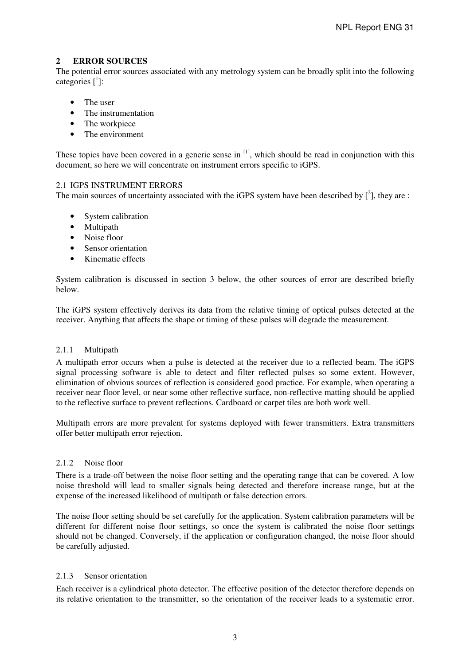## **2 ERROR SOURCES**

The potential error sources associated with any metrology system can be broadly split into the following categories  $\left[\begin{smallmatrix}1\\1\end{smallmatrix}\right]$ :

- The user
- The instrumentation
- The workpiece
- The environment

These topics have been covered in a generic sense in  $\left[1\right]$ , which should be read in conjunction with this document, so here we will concentrate on instrument errors specific to iGPS.

## 2.1 IGPS INSTRUMENT ERRORS

The main sources of uncertainty associated with the iGPS system have been described by  $[2]$ , they are :

- System calibration
- Multipath
- Noise floor
- Sensor orientation
- Kinematic effects

System calibration is discussed in section 3 below, the other sources of error are described briefly below.

The iGPS system effectively derives its data from the relative timing of optical pulses detected at the receiver. Anything that affects the shape or timing of these pulses will degrade the measurement.

### 2.1.1 Multipath

A multipath error occurs when a pulse is detected at the receiver due to a reflected beam. The iGPS signal processing software is able to detect and filter reflected pulses so some extent. However, elimination of obvious sources of reflection is considered good practice. For example, when operating a receiver near floor level, or near some other reflective surface, non-reflective matting should be applied to the reflective surface to prevent reflections. Cardboard or carpet tiles are both work well.

Multipath errors are more prevalent for systems deployed with fewer transmitters. Extra transmitters offer better multipath error rejection.

### 2.1.2 Noise floor

There is a trade-off between the noise floor setting and the operating range that can be covered. A low noise threshold will lead to smaller signals being detected and therefore increase range, but at the expense of the increased likelihood of multipath or false detection errors.

The noise floor setting should be set carefully for the application. System calibration parameters will be different for different noise floor settings, so once the system is calibrated the noise floor settings should not be changed. Conversely, if the application or configuration changed, the noise floor should be carefully adjusted.

## 2.1.3 Sensor orientation

Each receiver is a cylindrical photo detector. The effective position of the detector therefore depends on its relative orientation to the transmitter, so the orientation of the receiver leads to a systematic error.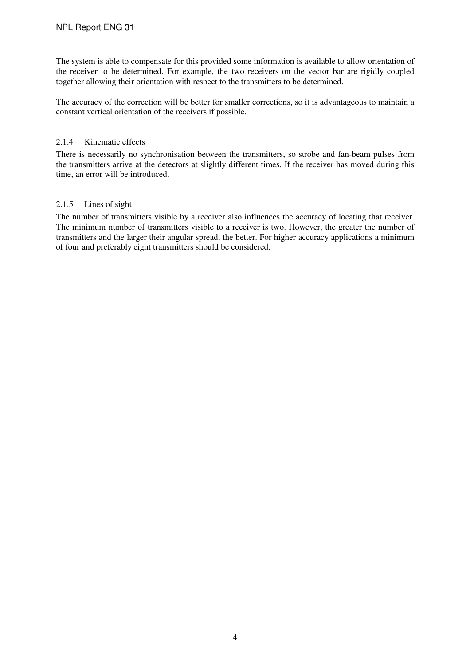The system is able to compensate for this provided some information is available to allow orientation of the receiver to be determined. For example, the two receivers on the vector bar are rigidly coupled together allowing their orientation with respect to the transmitters to be determined.

The accuracy of the correction will be better for smaller corrections, so it is advantageous to maintain a constant vertical orientation of the receivers if possible.

## 2.1.4 Kinematic effects

There is necessarily no synchronisation between the transmitters, so strobe and fan-beam pulses from the transmitters arrive at the detectors at slightly different times. If the receiver has moved during this time, an error will be introduced.

## 2.1.5 Lines of sight

The number of transmitters visible by a receiver also influences the accuracy of locating that receiver. The minimum number of transmitters visible to a receiver is two. However, the greater the number of transmitters and the larger their angular spread, the better. For higher accuracy applications a minimum of four and preferably eight transmitters should be considered.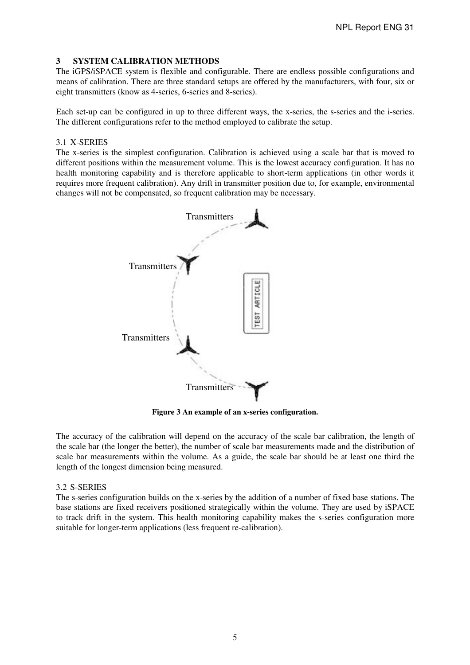## **3 SYSTEM CALIBRATION METHODS**

The iGPS/iSPACE system is flexible and configurable. There are endless possible configurations and means of calibration. There are three standard setups are offered by the manufacturers, with four, six or eight transmitters (know as 4-series, 6-series and 8-series).

Each set-up can be configured in up to three different ways, the x-series, the s-series and the i-series. The different configurations refer to the method employed to calibrate the setup.

## 3.1 X-SERIES

The x-series is the simplest configuration. Calibration is achieved using a scale bar that is moved to different positions within the measurement volume. This is the lowest accuracy configuration. It has no health monitoring capability and is therefore applicable to short-term applications (in other words it requires more frequent calibration). Any drift in transmitter position due to, for example, environmental changes will not be compensated, so frequent calibration may be necessary.



**Figure 3 An example of an x-series configuration.** 

The accuracy of the calibration will depend on the accuracy of the scale bar calibration, the length of the scale bar (the longer the better), the number of scale bar measurements made and the distribution of scale bar measurements within the volume. As a guide, the scale bar should be at least one third the length of the longest dimension being measured.

## 3.2 S-SERIES

The s-series configuration builds on the x-series by the addition of a number of fixed base stations. The base stations are fixed receivers positioned strategically within the volume. They are used by iSPACE to track drift in the system. This health monitoring capability makes the s-series configuration more suitable for longer-term applications (less frequent re-calibration).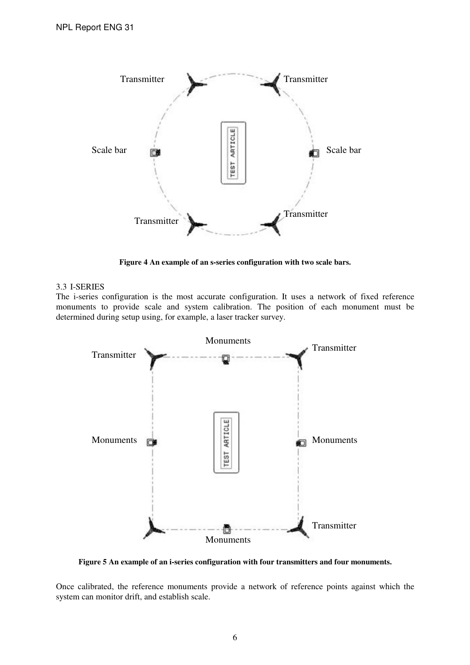

**Figure 4 An example of an s-series configuration with two scale bars.** 

### 3.3 I-SERIES

The i-series configuration is the most accurate configuration. It uses a network of fixed reference monuments to provide scale and system calibration. The position of each monument must be determined during setup using, for example, a laser tracker survey.



**Figure 5 An example of an i-series configuration with four transmitters and four monuments.** 

Once calibrated, the reference monuments provide a network of reference points against which the system can monitor drift, and establish scale.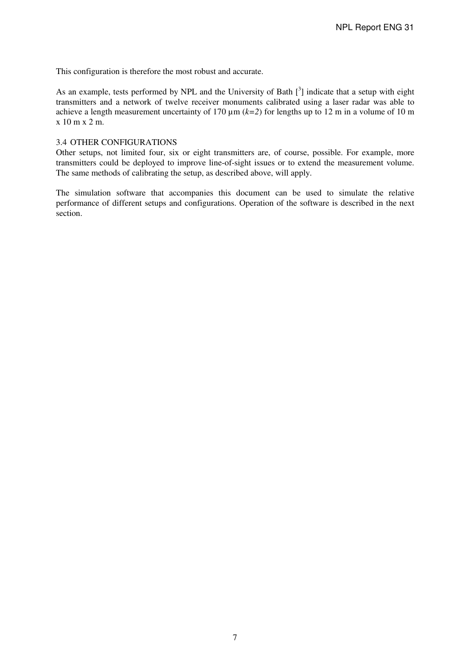This configuration is therefore the most robust and accurate.

As an example, tests performed by NPL and the University of Bath  $[3]$  indicate that a setup with eight transmitters and a network of twelve receiver monuments calibrated using a laser radar was able to achieve a length measurement uncertainty of 170  $\mu$ m ( $k=2$ ) for lengths up to 12 m in a volume of 10 m x 10 m x 2 m.

#### 3.4 OTHER CONFIGURATIONS

Other setups, not limited four, six or eight transmitters are, of course, possible. For example, more transmitters could be deployed to improve line-of-sight issues or to extend the measurement volume. The same methods of calibrating the setup, as described above, will apply.

The simulation software that accompanies this document can be used to simulate the relative performance of different setups and configurations. Operation of the software is described in the next section.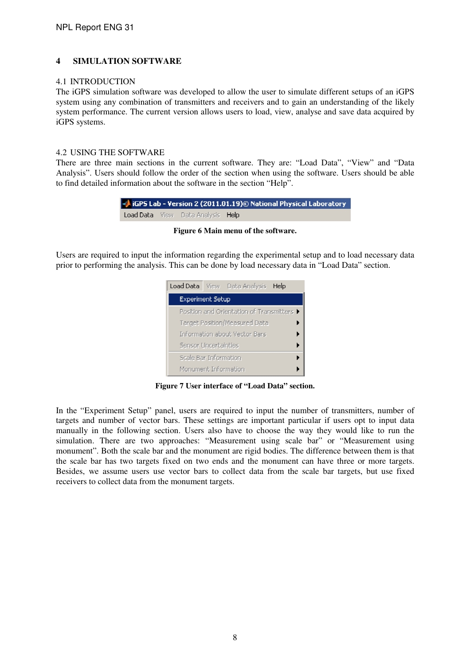## **4 SIMULATION SOFTWARE**

#### 4.1 INTRODUCTION

The iGPS simulation software was developed to allow the user to simulate different setups of an iGPS system using any combination of transmitters and receivers and to gain an understanding of the likely system performance. The current version allows users to load, view, analyse and save data acquired by iGPS systems.

#### 4.2 USING THE SOFTWARE

There are three main sections in the current software. They are: "Load Data", "View" and "Data Analysis". Users should follow the order of the section when using the software. Users should be able to find detailed information about the software in the section "Help".



**Figure 6 Main menu of the software.** 

Users are required to input the information regarding the experimental setup and to load necessary data prior to performing the analysis. This can be done by load necessary data in "Load Data" section.



**Figure 7 User interface of "Load Data" section.** 

In the "Experiment Setup" panel, users are required to input the number of transmitters, number of targets and number of vector bars. These settings are important particular if users opt to input data manually in the following section. Users also have to choose the way they would like to run the simulation. There are two approaches: "Measurement using scale bar" or "Measurement using monument". Both the scale bar and the monument are rigid bodies. The difference between them is that the scale bar has two targets fixed on two ends and the monument can have three or more targets. Besides, we assume users use vector bars to collect data from the scale bar targets, but use fixed receivers to collect data from the monument targets.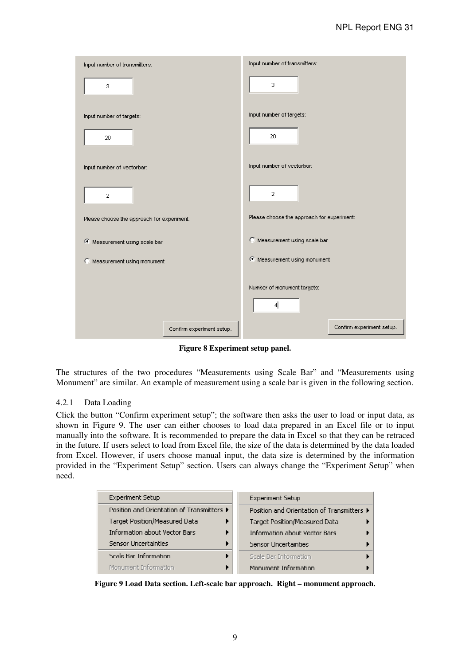| Input number of transmitters:              | Input number of transmitters:                   |
|--------------------------------------------|-------------------------------------------------|
| 3                                          | 3.                                              |
| Input number of targets:                   | input number of targets:                        |
| 20                                         | 20                                              |
| Input number of vectorbar:                 | input number of vectorbar:                      |
| $\overline{2}$                             | $\overline{2}$                                  |
| Please choose the approach for experiment: | Please choose the approach for experiment:      |
| C Measurement using scale bar              | C Measurement using scale bar                   |
| C Measurement using monument               | C Measurement using monument                    |
|                                            | Number of monument targets:<br>$\left  \right $ |
| Confirm experiment setup.                  | Confirm experiment setup.                       |

**Figure 8 Experiment setup panel.** 

The structures of the two procedures "Measurements using Scale Bar" and "Measurements using Monument" are similar. An example of measurement using a scale bar is given in the following section.

## 4.2.1 Data Loading

Click the button "Confirm experiment setup"; the software then asks the user to load or input data, as shown in Figure 9. The user can either chooses to load data prepared in an Excel file or to input manually into the software. It is recommended to prepare the data in Excel so that they can be retraced in the future. If users select to load from Excel file, the size of the data is determined by the data loaded from Excel. However, if users choose manual input, the data size is determined by the information provided in the "Experiment Setup" section. Users can always change the "Experiment Setup" when need.

| <b>Experiment Setup</b>                    | <b>Experiment Setup</b>                    |
|--------------------------------------------|--------------------------------------------|
| Position and Orientation of Transmitters ▶ | Position and Orientation of Transmitters ▶ |
| Target Position/Measured Data              | Target Position/Measured Data              |
| <b>Information about Vector Bars</b>       | <b>Information about Vector Bars</b>       |
| Sensor Uncertainties                       | Sensor Uncertainties                       |
| Scale Bar Information                      | Scale Bar Information                      |
| Monument Information                       | Monument Information                       |

**Figure 9 Load Data section. Left-scale bar approach. Right – monument approach.**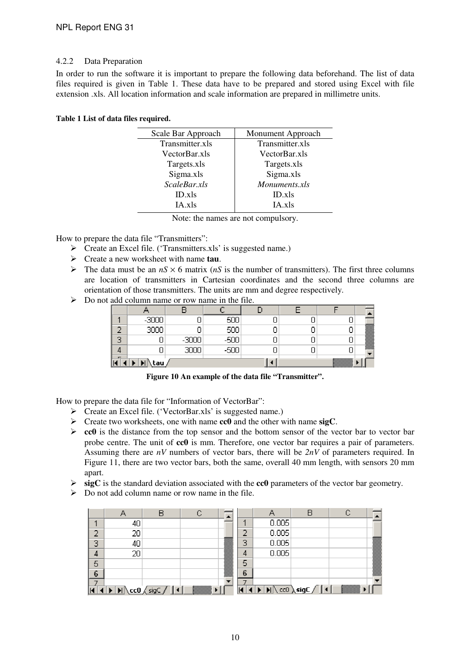## 4.2.2 Data Preparation

In order to run the software it is important to prepare the following data beforehand. The list of data files required is given in Table 1. These data have to be prepared and stored using Excel with file extension .xls. All location information and scale information are prepared in millimetre units.

#### **Table 1 List of data files required.**

| Scale Bar Approach | Monument Approach |
|--------------------|-------------------|
| Transmitter.xls    | Transmitter.xls   |
| VectorBar.xls      | VectorBar.xls     |
| Targets.xls        | Targets.xls       |
| Sigma.xls          | Sigma.xls         |
| ScaleBar.xls       | Monuments.xls     |
| ID.xIs             | ID.xls            |
| IA.xls             | IA.xls            |
|                    |                   |

Note: the names are not compulsory.

How to prepare the data file "Transmitters":

- $\triangleright$  Create an Excel file. ('Transmitters.xls' is suggested name.)
- Create a new worksheet with name **tau**.
- $\triangleright$  The data must be an  $nS \times 6$  matrix ( $nS$  is the number of transmitters). The first three columns are location of transmitters in Cartesian coordinates and the second three columns are orientation of those transmitters. The units are mm and degree respectively.
- $\triangleright$  Do not add column name or row name in the file.

|                          | $\overline{\phantom{0}}$ |           |  |                                                                                                                                                                                                                                |        |
|--------------------------|--------------------------|-----------|--|--------------------------------------------------------------------------------------------------------------------------------------------------------------------------------------------------------------------------------|--------|
| e.                       | -<br><b>GUUU</b>         |           |  |                                                                                                                                                                                                                                | æ      |
| o<br>$\sim$              |                          | -3000     |  |                                                                                                                                                                                                                                |        |
|                          |                          | ЭI<br>- - |  |                                                                                                                                                                                                                                | ×<br>÷ |
| $\overline{\phantom{0}}$ | tau                      |           |  | Military and the contract of the contract of the contract of the contract of the contract of the contract of the contract of the contract of the contract of the contract of the contract of the contract of the contract of t |        |

**Figure 10 An example of the data file "Transmitter".** 

How to prepare the data file for "Information of VectorBar":

- Create an Excel file. ('VectorBar.xls' is suggested name.)
- Create two worksheets, one with name **cc0** and the other with name **sigC**.
- $\geq$  **cc0** is the distance from the top sensor and the bottom sensor of the vector bar to vector bar probe centre. The unit of **cc0** is mm. Therefore, one vector bar requires a pair of parameters. Assuming there are *nV* numbers of vector bars, there will be *2nV* of parameters required. In Figure 11, there are two vector bars, both the same, overall 40 mm length, with sensors 20 mm apart.
- **sigC** is the standard deviation associated with the **cc0** parameters of the vector bar geometry.
- $\triangleright$  Do not add column name or row name in the file.

|    | Д  | F                                                                                                                                                   | r.<br>w |                          |   | А     | B                                                                                                 | C   |   |
|----|----|-----------------------------------------------------------------------------------------------------------------------------------------------------|---------|--------------------------|---|-------|---------------------------------------------------------------------------------------------------|-----|---|
| и  | 40 |                                                                                                                                                     |         |                          |   | 0.005 |                                                                                                   |     |   |
| 2  | 20 |                                                                                                                                                     |         |                          | n | 0.005 |                                                                                                   |     |   |
| 3  | 40 |                                                                                                                                                     |         | m.                       | 3 | 0.005 |                                                                                                   |     |   |
| 4  | 20 |                                                                                                                                                     |         |                          | 4 | 0.005 |                                                                                                   |     |   |
| 5  |    |                                                                                                                                                     |         |                          | 5 |       |                                                                                                   |     |   |
| 6  |    |                                                                                                                                                     |         | ▊                        | 6 |       |                                                                                                   |     | ₩ |
| ۰. |    | $\blacktriangleright$ $\blacktriangleright$ $\blacktriangleright$ $\blacktriangleright$ $\preceq$ $\preceq$ $\preceq$ $\preceq$ $\preceq$ $\preceq$ |         | $\overline{\phantom{a}}$ | ┱ |       | $\blacktriangleright$ $\blacktriangleright$ $\blacktriangleright$ $\triangleleft$ $\triangleleft$ | mm. | ▼ |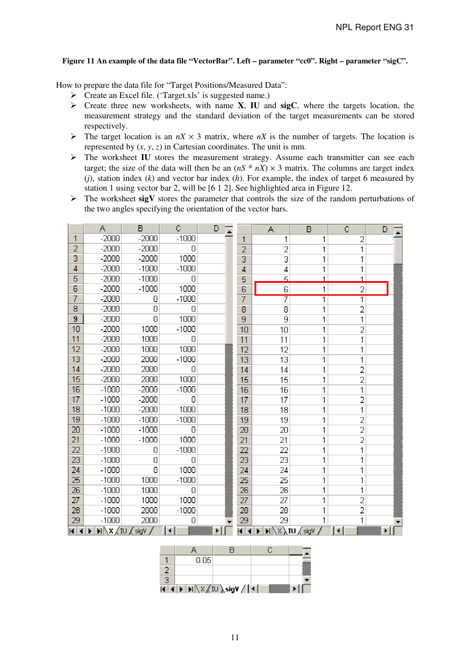#### **Figure 11 An example of the data file "VectorBar". Left – parameter "cc0". Right – parameter "sigC".**

How to prepare the data file for "Target Positions/Measured Data":

- Create an Excel file. ('Target.xls' is suggested name.)
- Create three new worksheets, with name **X**, **IU** and **sigC**, where the targets location, the measurement strategy and the standard deviation of the target measurements can be stored respectively.
- $\triangleright$  The target location is an  $nX \times 3$  matrix, where  $nX$  is the number of targets. The location is represented by  $(x, y, z)$  in Cartesian coordinates. The unit is mm.
- > The worksheet IU stores the measurement strategy. Assume each transmitter can see each target; the size of the data will then be an  $(nS * nX) \times 3$  matrix. The columns are target index (*j*), station index (*k*) and vector bar index (*h*). For example, the index of target 6 measured by station 1 using vector bar 2, will be [6 1 2]. See highlighted area in Figure 12.
- The worksheet **sigV** stores the parameter that controls the size of the random perturbations of the two angles specifying the orientation of the vector bars.

|        | $\mathcal{L}_{\mathcal{A}}$ | B                                                                      | Ċ              | D |                           | $\mathcal{L}_{\mathcal{A}}$ | B                                                                                     | Ċ              | D |
|--------|-----------------------------|------------------------------------------------------------------------|----------------|---|---------------------------|-----------------------------|---------------------------------------------------------------------------------------|----------------|---|
| 1      | $-2000$                     | $-2000$                                                                | $-1000$        |   | 1                         | 1                           | 1                                                                                     | 2              |   |
| 2      | -2000                       | -2000                                                                  | Ū              |   | $\overline{2}$            | 2                           | $\overline{\phantom{a}}$                                                              | 1              |   |
| 3      | $-2000$                     | $-2000$                                                                | 1000           |   | 3                         | G                           | $\mathbf{1}$                                                                          | 1              |   |
| 4      | $-2000$                     | $-1000$                                                                | $-1000$        |   | 4                         | 4                           | $\mathbf{1}$                                                                          | 1              |   |
| 5      | $-2000$                     | $-1000$                                                                | 0              |   | 5                         | E,                          | $\blacksquare$                                                                        | $\blacksquare$ |   |
| 6      | $-2000$                     | $-1000$                                                                | 1000           |   | 6                         | $\mathsf E$                 | $\mathbf{1}$                                                                          | $\overline{2}$ |   |
| 7      | $-2000$                     | 0                                                                      | $-1000$        |   | 7                         | 7                           | $\overline{1}$                                                                        | T              |   |
| Θ      | $-2000$                     | $\Box$                                                                 | $\Box$         |   | 8                         | $\mathbf{B}$                | 1                                                                                     | 2              |   |
| 9      | $-2000$                     | $\Box$                                                                 | 1000           |   | 9                         | 9                           | 1                                                                                     | 1              |   |
| 10     | $-2000$                     | 1000                                                                   | $-1000$        |   | 10                        | 10                          | $\mathbf{1}$                                                                          | 2              |   |
| 11     | $-2000$                     | 1000                                                                   | 0              |   | 11                        | 11                          | 1                                                                                     | 1              |   |
| 12     | $-2000$                     | 1000                                                                   | 1000           |   | 12                        | 12                          | 1                                                                                     | 1              |   |
| 13     | $-2000$                     | 2000                                                                   | $-1000$        |   | 13                        | 13                          | 1                                                                                     | 1              |   |
| 14     | $-2000$                     | 2000                                                                   | 0              |   | 14                        | 14                          | $\mathbf{1}$                                                                          | $\overline{2}$ |   |
| 15     | $-2000$                     | 2000                                                                   | 1000           |   | 15                        | 15                          | $\overline{\phantom{a}}$                                                              | $\overline{2}$ |   |
| 16     | $-1000$                     | $-2000$                                                                | $-1000$        |   | 16                        | 16                          | 1                                                                                     | $\mathbf{1}$   |   |
| 17     | $-1000$                     | -2000                                                                  | $\Box$         |   | 17                        | 17                          | $\mathbf{1}$                                                                          | $\overline{2}$ |   |
| 18     | $-1000$                     | $-2000$                                                                | 1000           |   | 18                        | 18                          | $\mathbf{1}$                                                                          | 1              |   |
| 19     | $-1000$                     | $-1000$                                                                | $-1000$        |   | 19                        | 19                          | $\mathbf{1}$                                                                          | $\overline{2}$ |   |
| 20     | $-1000$                     | $-1000$                                                                | Ū              |   | 20                        | 20                          | 1                                                                                     | $\overline{2}$ |   |
| 21     | $-1000$                     | $-1000$                                                                | 1000           |   | 21                        | 21                          | $\mathbf{1}$                                                                          | $\overline{2}$ |   |
| 22     | $-1000$                     | $\Box$                                                                 | $-1000$        |   | 22                        | 22                          | 1                                                                                     | $\mathbf{1}$   |   |
| 23     | $-1000$                     | $\Box$                                                                 | 0              |   | 23                        | 23                          | $\overline{\phantom{a}}$                                                              | 1              |   |
| 24     | $-1000$                     | Л                                                                      | 1000           |   | 24                        | 24                          | $\overline{\phantom{a}}$                                                              | 1              |   |
| 25     | $-1000$                     | 1000                                                                   | $-1000$        |   | 25                        | 25                          | $\mathbf{1}$                                                                          | $\mathfrak{q}$ |   |
| 26     | $-1000$                     | 1000                                                                   | Ū              |   | 26                        | 26                          | 1                                                                                     | 1              |   |
| 27     | $-1000$                     | 1000                                                                   | 1000           |   | 27                        | 27                          | $\mathbf{1}$                                                                          | $\overline{2}$ |   |
| 28     | $-1000$                     | 2000                                                                   | $-1000$        |   | 28                        | 28                          | 1                                                                                     | 2              |   |
| 29     | $-1000$                     | 2000                                                                   | О              |   | 29                        | 29                          | 1                                                                                     | 1              |   |
| 11 I 1 |                             | $\blacksquare\backslash$ X $\bigwedge$ IU $\bigwedge$ sigV $\bigwedge$ | $\blacksquare$ | Þ | $\overline{\mathsf{H}}$ . |                             | $\textbf{M} \backslash \text{X} \backslash \textbf{I}$ U $\bigwedge \text{sigV} \neq$ | $\blacksquare$ | Þ |

| ×. |                                                                                                       |               |  |
|----|-------------------------------------------------------------------------------------------------------|---------------|--|
|    | $\setminus$ <code>X</code> $\neq$ <code>IU</code> $\setminus$ <code>sig¥</code> $\neq$ <code>I</code> | - - - - - - - |  |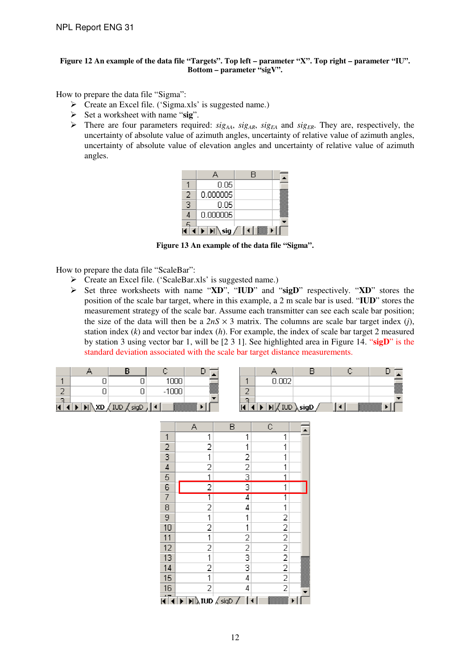#### **Figure 12 An example of the data file "Targets". Top left – parameter "X". Top right – parameter "IU". Bottom – parameter "sigV".**

How to prepare the data file "Sigma":

- Create an Excel file. ('Sigma.xls' is suggested name.)
- Set a worksheet with name "**sig**".
- $\triangleright$  There are four parameters required: *sig<sub>AA</sub>*, *sig<sub>AR</sub>*, *sig<sub>EA</sub>* and *sig<sub>ER</sub>*. They are, respectively, the uncertainty of absolute value of azimuth angles, uncertainty of relative value of azimuth angles, uncertainty of absolute value of elevation angles and uncertainty of relative value of azimuth angles.

|                          |          | A |  |
|--------------------------|----------|---|--|
|                          | 0.05     |   |  |
| 2                        | 0.000005 |   |  |
| $\overline{\phantom{a}}$ | 0.05     |   |  |
| 4                        | 0.000005 |   |  |
|                          |          |   |  |
|                          | \ siq    |   |  |

**Figure 13 An example of the data file "Sigma".** 

How to prepare the data file "ScaleBar":

- Create an Excel file. ('ScaleBar.xls' is suggested name.)
- Set three worksheets with name "**XD**", "**IUD**" and "**sigD**" respectively. "**XD**" stores the position of the scale bar target, where in this example, a 2 m scale bar is used. "**IUD**" stores the measurement strategy of the scale bar. Assume each transmitter can see each scale bar position; the size of the data will then be a  $2nS \times 3$  matrix. The columns are scale bar target index (*j*), station index (*k*) and vector bar index (*h*). For example, the index of scale bar target 2 measured by station 3 using vector bar 1, will be [2 3 1]. See highlighted area in Figure 14. "**sigD**" is the standard deviation associated with the scale bar target distance measurements.

|                                |                   | nnr |                |    | . |  |             |
|--------------------------------|-------------------|-----|----------------|----|---|--|-------------|
| <b>CONTRACTOR</b><br>a shekara |                   |     | ▩              | -  |   |  | ▩           |
| <b>Contract</b>                |                   |     |                | e. |   |  |             |
|                                | ш<br><b>STATE</b> |     | <u>Ezimo e</u> |    |   |  | <u>kana</u> |

|                          | $\mathcal{L}_{\mathbf{1}}$ | B                                                                                          | $\mathbb{C}$                                                             |  |
|--------------------------|----------------------------|--------------------------------------------------------------------------------------------|--------------------------------------------------------------------------|--|
| $\overline{\phantom{a}}$ | 1                          | 1                                                                                          | 1                                                                        |  |
|                          | 2                          | 1                                                                                          | 1                                                                        |  |
| $\frac{2}{3}$            | $\mathbf{1}$               | $\overline{z}$                                                                             | 1                                                                        |  |
|                          | $\overline{2}$             | $\overline{2}$                                                                             | 1                                                                        |  |
| 5                        | $\overline{\phantom{a}}$   | 3                                                                                          | 1                                                                        |  |
| $rac{E}{7}$              | 2                          | 3                                                                                          | $\overline{1}$                                                           |  |
|                          | $\overline{\mathbb{I}}$    | 4                                                                                          | 1                                                                        |  |
| 8                        | $\overline{2}$             | 4                                                                                          | $\overline{\phantom{a}}$                                                 |  |
| 9                        | $\overline{\mathbf{1}}$    | $\overline{\phantom{a}}$                                                                   |                                                                          |  |
| 10                       | $\overline{2}$             | $\overline{\phantom{a}}$                                                                   |                                                                          |  |
| $\overline{11}$          | $\overline{\mathbf{1}}$    | $\overline{a}$                                                                             |                                                                          |  |
| $\overline{12}$          | $\overline{2}$             | $\frac{2}{3}$                                                                              |                                                                          |  |
| $\overline{13}$          | $\overline{\mathbf{1}}$    |                                                                                            |                                                                          |  |
| $\overline{14}$          | $\overline{2}$             | 3                                                                                          | $2\overline{2}$<br>$2\overline{2}$<br>$2\overline{2}$<br>$2\overline{2}$ |  |
| 15                       | $\overline{1}$             | 4                                                                                          |                                                                          |  |
| 16                       | $\overline{2}$             | 4                                                                                          | $\overline{2}$                                                           |  |
|                          |                            | $\textsf{N}$ $\textsf{N}$ $\textsf{U}$ $\textsf{D}$ $\textsf{N}$ $\textsf{S}$ $\textsf{I}$ |                                                                          |  |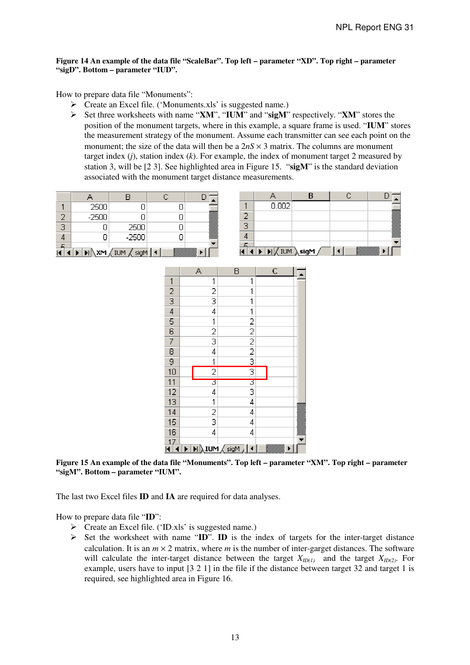#### **Figure 14 An example of the data file "ScaleBar". Top left – parameter "XD". Top right – parameter "sigD". Bottom – parameter "IUD".**

How to prepare data file "Monuments":

- Create an Excel file. ('Monuments.xls' is suggested name.)
- Set three worksheets with name "**XM**", "**IUM**" and "**sigM**" respectively. "**XM**" stores the position of the monument targets, where in this example, a square frame is used. "**IUM**" stores the measurement strategy of the monument. Assume each transmitter can see each point on the monument; the size of the data will then be a  $2nS \times 3$  matrix. The columns are monument target index (*j*), station index (*k*). For example, the index of monument target 2 measured by station 3, will be [2 3]. See highlighted area in Figure 15. "**sigM**" is the standard deviation associated with the monument target distance measurements.

|                         | 2500    |                                                                             |  |
|-------------------------|---------|-----------------------------------------------------------------------------|--|
|                         | $-2500$ |                                                                             |  |
| $\overline{\mathbb{R}}$ |         | 2500                                                                        |  |
|                         |         | $-2500$                                                                     |  |
|                         |         | $\textsf{M}\backslash \textsf{XM}$ $\langle$ IUM $\langle$ sigM $\parallel$ |  |



|                | А                        | Β                                                                                  | C |  |
|----------------|--------------------------|------------------------------------------------------------------------------------|---|--|
| $\mathbf{1}$   | $\mathbf 1$              | 1                                                                                  |   |  |
| $\frac{2}{3}$  | $\frac{2}{3}$            | 1                                                                                  |   |  |
|                |                          | 1                                                                                  |   |  |
| $\frac{1}{4}$  | 4                        | $\overline{\mathbf{1}}$                                                            |   |  |
| $\overline{5}$ | $\overline{\phantom{a}}$ |                                                                                    |   |  |
| 6              | $\frac{2}{3}$            |                                                                                    |   |  |
| 7              |                          | $\frac{2}{2}$ $\frac{2}{2}$                                                        |   |  |
| 8              | 4                        |                                                                                    |   |  |
| 9              | $\overline{\mathbf{1}}$  | 3                                                                                  |   |  |
| 10             | $\overline{2}$           | 3                                                                                  |   |  |
| 11             | 3                        | E                                                                                  |   |  |
| 12             | 4                        | 3                                                                                  |   |  |
| 13             | $\overline{\mathbf{1}}$  | 4                                                                                  |   |  |
| $\frac{1}{4}$  | $\frac{2}{3}$            | 4                                                                                  |   |  |
| 15             |                          | 4                                                                                  |   |  |
| 1 <sub>1</sub> | 4                        | 4                                                                                  |   |  |
| 17             |                          |                                                                                    |   |  |
|                |                          | $\blacktriangleright$ $\lfloor$ $\textsf{N}\textsf{N}\rfloor$ $\blacktriangleleft$ |   |  |

**Figure 15 An example of the data file "Monuments". Top left – parameter "XM". Top right – parameter "sigM". Bottom – parameter "IUM".** 

The last two Excel files **ID** and **IA** are required for data analyses.

How to prepare data file "**ID**":

- Create an Excel file. ('ID.xls' is suggested name.)
- $\triangleright$  Set the worksheet with name "**ID**". **ID** is the index of targets for the inter-target distance calculation. It is an  $m \times 2$  matrix, where *m* is the number of inter-garget distances. The software will calculate the inter-target distance between the target  $X_{ID(1)}$  and the target  $X_{ID(2)}$ . For example, users have to input [3 2 1] in the file if the distance between target 32 and target 1 is required, see highlighted area in Figure 16.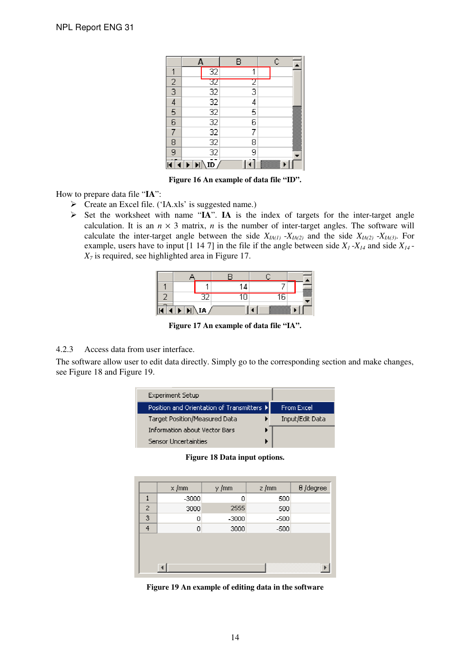|                | $\Delta$ |                                                 | В |                | $\mathbb{C}$ |
|----------------|----------|-------------------------------------------------|---|----------------|--------------|
| 4              |          | 32                                              |   | 4              |              |
| $\frac{2}{3}$  |          |                                                 |   | Ξ              |              |
|                |          | $\begin{array}{c} 32 \\ 32 \\ 32 \end{array}$   |   | $\overline{3}$ |              |
| $\overline{4}$ |          |                                                 |   | 4              |              |
| $\frac{5}{6}$  |          |                                                 |   | 5              |              |
|                |          |                                                 |   | 6              |              |
| 7              |          |                                                 |   | 7              |              |
| $\epsilon$     |          | $\frac{32}{32}$ $\frac{32}{32}$ $\frac{32}{32}$ |   | 8              |              |
| g              |          |                                                 |   | ğ              |              |
|                |          |                                                 |   |                |              |

**Figure 16 An example of data file "ID".** 

How to prepare data file "**IA**":

- Create an Excel file. ('IA.xls' is suggested name.)
- > Set the worksheet with name "IA". IA is the index of targets for the inter-target angle calculation. It is an  $n \times 3$  matrix, *n* is the number of inter-target angles. The software will calculate the inter-target angle between the side  $X_{IA(1)} - X_{IA(2)}$  and the side  $X_{IA(2)} - X_{IA(3)}$ . For example, users have to input [1 14 7] in the file if the angle between side  $X_1 - X_{14}$  and side  $X_{14}$  - $X_7$  is required, see highlighted area in Figure 17.

| m  |  |    | ▩ |
|----|--|----|---|
| r. |  | E. |   |

**Figure 17 An example of data file "IA".** 

4.2.3 Access data from user interface.

The software allow user to edit data directly. Simply go to the corresponding section and make changes, see Figure 18 and Figure 19.

| <b>Experiment Setup</b>                    |                 |
|--------------------------------------------|-----------------|
| Position and Orientation of Transmitters ▶ | From Excel      |
| Target Position/Measured Data              | Input/Edit Data |
| <b>Information about Vector Bars</b>       |                 |
| <b>Sensor Uncertainties</b>                |                 |

**Figure 18 Data input options.** 

|   | $\times$ Jmm | y /mm | z/mm   | $\theta$ /degree |
|---|--------------|-------|--------|------------------|
| 1 | $-3000$      | Ω     | 500    |                  |
| 2 | 3000         | 2555  | 500    |                  |
| 3 | Ū            | -3000 | -500   |                  |
| 4 | 0            | 3000  | $-500$ |                  |
|   |              |       |        |                  |
|   |              |       |        |                  |
|   |              |       |        |                  |
|   |              |       |        |                  |

**Figure 19 An example of editing data in the software**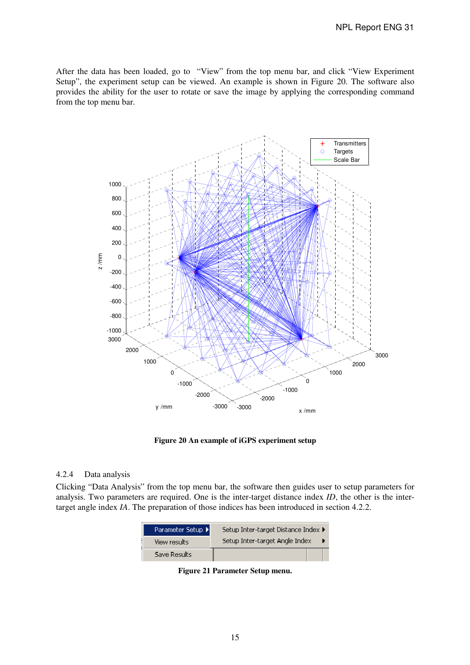#### NPL Report ENG 31

After the data has been loaded, go to "View" from the top menu bar, and click "View Experiment Setup", the experiment setup can be viewed. An example is shown in Figure 20. The software also provides the ability for the user to rotate or save the image by applying the corresponding command from the top menu bar.



**Figure 20 An example of iGPS experiment setup** 

#### 4.2.4 Data analysis

Clicking "Data Analysis" from the top menu bar, the software then guides user to setup parameters for analysis. Two parameters are required. One is the inter-target distance index *ID*, the other is the intertarget angle index *IA*. The preparation of those indices has been introduced in section 4.2.2.

| Parameter Setup ▶ | Setup Inter-target Distance Index ▶ |  |
|-------------------|-------------------------------------|--|
| View results      | Setup Inter-target Angle Index      |  |
| Save Results'     |                                     |  |

**Figure 21 Parameter Setup menu.**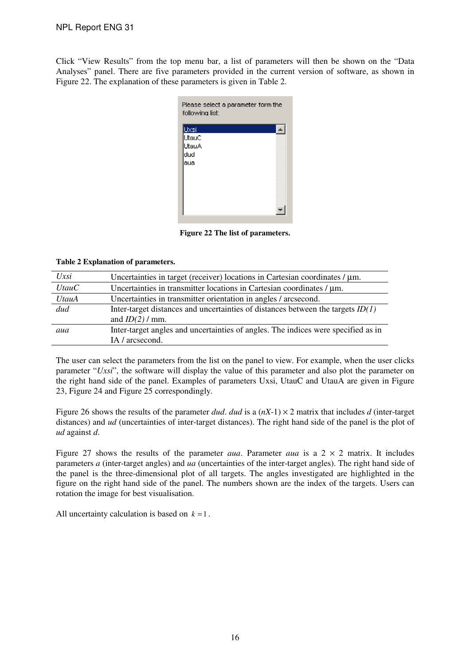Click "View Results" from the top menu bar, a list of parameters will then be shown on the "Data Analyses" panel. There are five parameters provided in the current version of software, as shown in Figure 22. The explanation of these parameters is given in Table 2.

| Please select a parameter form the<br>following list: |  |
|-------------------------------------------------------|--|
| Uxsi                                                  |  |
| UtauC                                                 |  |
| UtauA                                                 |  |
| dud                                                   |  |
| 'aua                                                  |  |
|                                                       |  |
|                                                       |  |
|                                                       |  |
|                                                       |  |
|                                                       |  |
|                                                       |  |

**Figure 22 The list of parameters.** 

#### **Table 2 Explanation of parameters.**

| $U$ <i>xsi</i> | Uncertainties in target (receiver) locations in Cartesian coordinates $/\mu$ m.   |
|----------------|-----------------------------------------------------------------------------------|
| UtauC          | Uncertainties in transmitter locations in Cartesian coordinates / µm.             |
| UtauA          | Uncertainties in transmitter orientation in angles / arcsecond.                   |
| dud            | Inter-target distances and uncertainties of distances between the targets $ID(1)$ |
|                | and $ID(2) / mm$ .                                                                |
| aua            | Inter-target angles and uncertainties of angles. The indices were specified as in |
|                | IA / arcsecond.                                                                   |

The user can select the parameters from the list on the panel to view. For example, when the user clicks parameter "*Uxsi*", the software will display the value of this parameter and also plot the parameter on the right hand side of the panel. Examples of parameters Uxsi, UtauC and UtauA are given in Figure 23, Figure 24 and Figure 25 correspondingly.

Figure 26 shows the results of the parameter *dud*. *dud* is a  $(nX-1) \times 2$  matrix that includes *d* (inter-target distances) and *ud* (uncertainties of inter-target distances). The right hand side of the panel is the plot of *ud* against *d*.

Figure 27 shows the results of the parameter *aua*. Parameter *aua* is a  $2 \times 2$  matrix. It includes parameters *a* (inter-target angles) and *ua* (uncertainties of the inter-target angles). The right hand side of the panel is the three-dimensional plot of all targets. The angles investigated are highlighted in the figure on the right hand side of the panel. The numbers shown are the index of the targets. Users can rotation the image for best visualisation.

All uncertainty calculation is based on  $k = 1$ .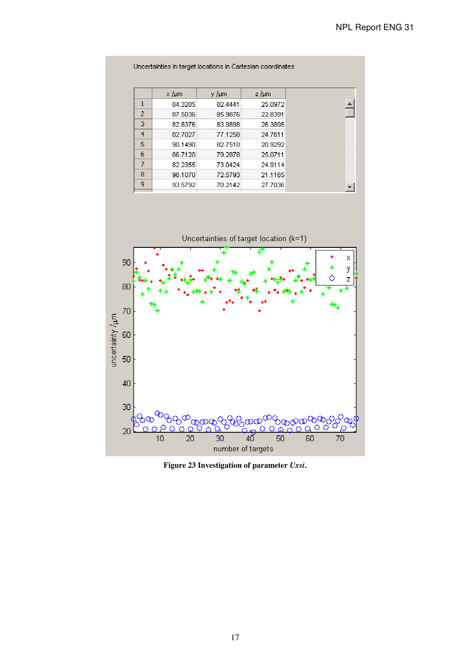| $\times$ /µm<br>z /µm<br>y /µm<br>1<br>84.3285<br>82.4441<br>2<br>67.5036<br>65.9676<br>22.8391<br>G<br>82.8376<br>83.9898<br>4<br>82.7027<br>77.1258<br>24.7611<br>5<br>90.1490<br>82.7510<br>6<br>86.7120<br>79.2878<br>25.0711<br>7<br>82.2355<br>73.0424<br>8<br>96.1070<br>72.5793 |   |         |         |         |
|-----------------------------------------------------------------------------------------------------------------------------------------------------------------------------------------------------------------------------------------------------------------------------------------|---|---------|---------|---------|
| 25.0972<br>26.3895<br>20.9292<br>24.9114<br>21.1165                                                                                                                                                                                                                                     |   |         |         |         |
|                                                                                                                                                                                                                                                                                         |   |         |         |         |
|                                                                                                                                                                                                                                                                                         |   |         |         |         |
|                                                                                                                                                                                                                                                                                         |   |         |         |         |
|                                                                                                                                                                                                                                                                                         |   |         |         |         |
|                                                                                                                                                                                                                                                                                         |   |         |         |         |
|                                                                                                                                                                                                                                                                                         |   |         |         |         |
|                                                                                                                                                                                                                                                                                         |   |         |         |         |
|                                                                                                                                                                                                                                                                                         |   |         |         |         |
|                                                                                                                                                                                                                                                                                         | 9 | 93.5792 | 70.2142 | 27.7036 |



**Figure 23 Investigation of parameter** *Uxsi***.**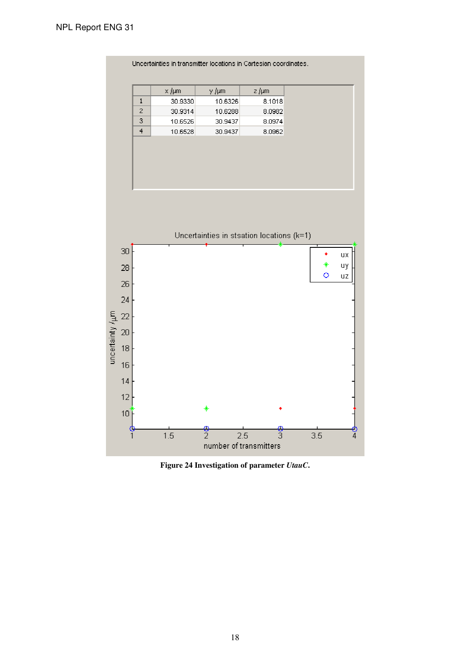

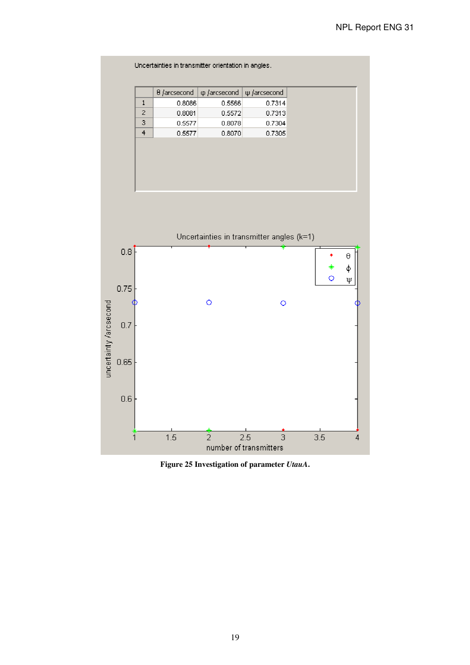

|   | 0 /arcsecond | in farcsecond | lu Jarcsecond |
|---|--------------|---------------|---------------|
|   | 0.8086       | 0.5566        | 0.7314        |
| 7 | 0.8081       | 0.5572        | 0.7313        |
| G | 0.5577       | 0.8078        | 0.7304        |
| 4 | 0.5577       | 0.8070        | 0.7305        |



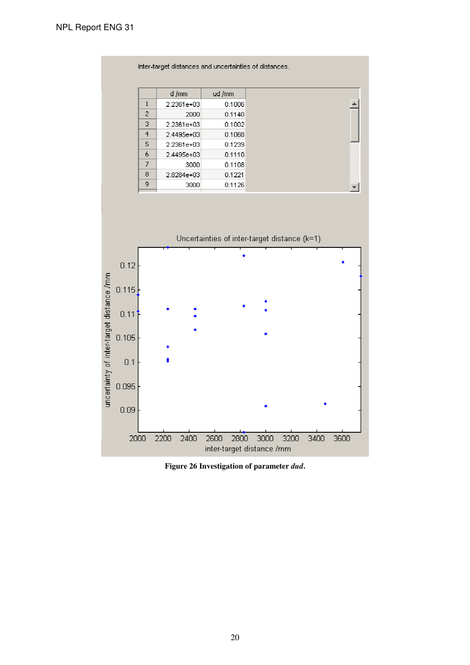|   | Inter-target distances and uncertainties of distances. |        |
|---|--------------------------------------------------------|--------|
|   |                                                        |        |
|   | d/mm                                                   | ud /mm |
| 1 | 2.2361e+03                                             | 0.1006 |
| 2 | 2000.                                                  | 0.1140 |
| G | 2.2361e+03                                             | 0.1002 |
| 4 | 2.4495e+03                                             | 0.1068 |
| 5 | 2.2361e+03                                             | 0.1239 |
| 6 | 2.4495e+03                                             | 0.1110 |
| 7 | 3000                                                   | 0.1108 |
| 8 | 2.8284e+03                                             | 0.1221 |
| 9 | 3000                                                   | 0.1126 |



**Figure 26 Investigation of parameter** *dud***.**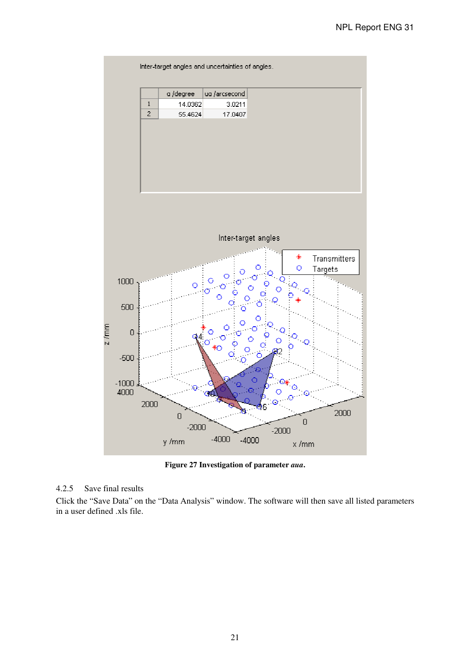

**Figure 27 Investigation of parameter** *aua***.** 

## 4.2.5 Save final results

Click the "Save Data" on the "Data Analysis" window. The software will then save all listed parameters in a user defined .xls file.